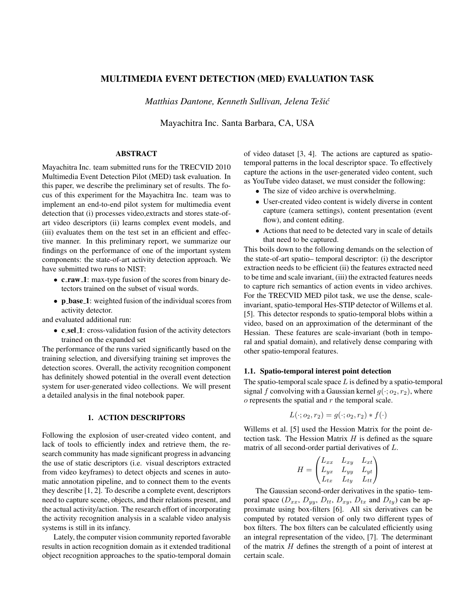# MULTIMEDIA EVENT DETECTION (MED) EVALUATION TASK

*Matthias Dantone, Kenneth Sullivan, Jelena Tesiˇ c´*

Mayachitra Inc. Santa Barbara, CA, USA

# ABSTRACT

Mayachitra Inc. team submitted runs for the TRECVID 2010 Multimedia Event Detection Pilot (MED) task evaluation. In this paper, we describe the preliminary set of results. The focus of this experiment for the Mayachitra Inc. team was to implement an end-to-end pilot system for multimedia event detection that (i) processes video,extracts and stores state-ofart video descriptors (ii) learns complex event models, and (iii) evaluates them on the test set in an efficient and effective manner. In this preliminary report, we summarize our findings on the performance of one of the important system components: the state-of-art activity detection approach. We have submitted two runs to NIST:

- **c\_raw\_1**: max-type fusion of the scores from binary detectors trained on the subset of visual words.
- p\_base\_1: weighted fusion of the individual scores from activity detector.

and evaluated additional run:

• c\_sel\_1: cross-validation fusion of the activity detectors trained on the expanded set

The performance of the runs varied significantly based on the training selection, and diversifying training set improves the detection scores. Overall, the activity recognition component has definitely showed potential in the overall event detection system for user-generated video collections. We will present a detailed analysis in the final notebook paper.

## 1. ACTION DESCRIPTORS

Following the explosion of user-created video content, and lack of tools to efficiently index and retrieve them, the research community has made significant progress in advancing the use of static descriptors (i.e. visual descriptors extracted from video keyframes) to detect objects and scenes in automatic annotation pipeline, and to connect them to the events they describe [1, 2]. To describe a complete event, descriptors need to capture scene, objects, and their relations present, and the actual activity/action. The research effort of incorporating the activity recognition analysis in a scalable video analysis systems is still in its infancy.

Lately, the computer vision community reported favorable results in action recognition domain as it extended traditional object recognition approaches to the spatio-temporal domain of video dataset [3, 4]. The actions are captured as spatiotemporal patterns in the local descriptor space. To effectively capture the actions in the user-generated video content, such as YouTube video dataset, we must consider the following:

- The size of video archive is overwhelming.
- User-created video content is widely diverse in content capture (camera settings), content presentation (event flow), and content editing.
- Actions that need to be detected vary in scale of details that need to be captured.

This boils down to the following demands on the selection of the state-of-art spatio– temporal descriptor: (i) the descriptor extraction needs to be efficient (ii) the features extracted need to be time and scale invariant, (iii) the extracted features needs to capture rich semantics of action events in video archives. For the TRECVID MED pilot task, we use the dense, scaleinvariant, spatio-temporal Hes-STIP detector of Willems et al. [5]. This detector responds to spatio-temporal blobs within a video, based on an approximation of the determinant of the Hessian. These features are scale-invariant (both in temporal and spatial domain), and relatively dense comparing with other spatio-temporal features.

#### 1.1. Spatio-temporal interest point detection

The spatio-temporal scale space  $L$  is defined by a spatio-temporal signal f convolving with a Gaussian kernel  $g(\cdot; o_2, r_2)$ , where  $\sigma$  represents the spatial and  $r$  the temporal scale.

$$
L(\cdot; o_2, r_2) = g(\cdot; o_2, r_2) * f(\cdot)
$$

Willems et al. [5] used the Hession Matrix for the point detection task. The Hession Matrix  $H$  is defined as the square matrix of all second-order partial derivatives of L.

$$
H = \begin{pmatrix} L_{xx} & L_{xy} & L_{xt} \\ L_{yx} & L_{yy} & L_{yt} \\ L_{tx} & L_{ty} & L_{tt} \end{pmatrix}
$$

The Gaussian second-order derivatives in the spatio- temporal space  $(D_{xx}, D_{yy}, D_{tt}, D_{xy}, D_{tx}$  and  $D_{ty}$ ) can be approximate using box-filters [6]. All six derivatives can be computed by rotated version of only two different types of box filters. The box filters can be calculated efficiently using an integral representation of the video, [7]. The determinant of the matrix  $H$  defines the strength of a point of interest at certain scale.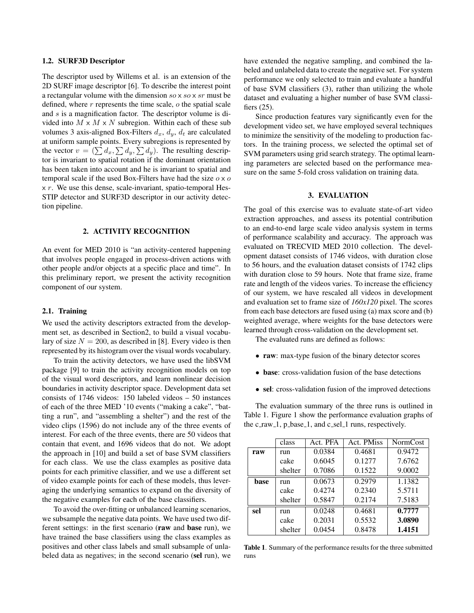### 1.2. SURF3D Descriptor

The descriptor used by Willems et al. is an extension of the 2D SURF image descriptor [6]. To describe the interest point a rectangular volume with the dimension  $so \times so \times sr$  must be defined, where r represents the time scale, o the spatial scale and s is a magnification factor. The descriptor volume is divided into  $M \times M \times N$  subregion. Within each of these sub volumes 3 axis-aligned Box-Filters  $d_x$ ,  $d_y$ ,  $d_t$  are calculated at uniform sample points. Every subregions is represented by the vector  $v = (\sum d_x, \sum d_y, \sum d_y)$ . The resulting descriptor is invariant to spatial rotation if the dominant orientation has been taken into account and he is invariant to spatial and temporal scale if the used Box-Filters have had the size  $o \times o$  $x r$ . We use this dense, scale-invariant, spatio-temporal Hes-STIP detector and SURF3D descriptor in our activity detection pipeline.

## 2. ACTIVITY RECOGNITION

An event for MED 2010 is "an activity-centered happening that involves people engaged in process-driven actions with other people and/or objects at a specific place and time". In this preliminary report, we present the activity recognition component of our system.

### 2.1. Training

We used the activity descriptors extracted from the development set, as described in Section2, to build a visual vocabulary of size  $N = 200$ , as described in [8]. Every video is then represented by its histogram over the visual words vocabulary.

To train the activity detectors, we have used the libSVM package [9] to train the activity recognition models on top of the visual word descriptors, and learn nonlinear decision boundaries in activity descriptor space. Development data set consists of 1746 videos: 150 labeled videos – 50 instances of each of the three MED '10 events ("making a cake", "batting a run", and "assembling a shelter") and the rest of the video clips (1596) do not include any of the three events of interest. For each of the three events, there are 50 videos that contain that event, and 1696 videos that do not. We adopt the approach in [10] and build a set of base SVM classifiers for each class. We use the class examples as positive data points for each primitive classifier, and we use a different set of video example points for each of these models, thus leveraging the underlying semantics to expand on the diversity of the negative examples for each of the base classifiers.

To avoid the over-fitting or unbalanced learning scenarios, we subsample the negative data points. We have used two different settings: in the first scenario (raw and base run), we have trained the base classifiers using the class examples as positives and other class labels and small subsample of unlabeled data as negatives; in the second scenario (sel run), we have extended the negative sampling, and combined the labeled and unlabeled data to create the negative set. For system performance we only selected to train and evaluate a handful of base SVM classifiers (3), rather than utilizing the whole dataset and evaluating a higher number of base SVM classifiers (25).

Since production features vary significantly even for the development video set, we have employed several techniques to minimize the sensitivity of the modeling to production factors. In the training process, we selected the optimal set of SVM parameters using grid search strategy. The optimal learning parameters are selected based on the performance measure on the same 5-fold cross validation on training data.

#### 3. EVALUATION

The goal of this exercise was to evaluate state-of-art video extraction approaches, and assess its potential contribution to an end-to-end large scale video analysis system in terms of performance scalability and accuracy. The approach was evaluated on TRECVID MED 2010 collection. The development dataset consists of 1746 videos, with duration close to 56 hours, and the evaluation dataset consists of 1742 clips with duration close to 59 hours. Note that frame size, frame rate and length of the videos varies. To increase the efficiency of our system, we have rescaled all videos in development and evaluation set to frame size of *160x120* pixel. The scores from each base detectors are fused using (a) max score and (b) weighted average, where weights for the base detectors were learned through cross-validation on the development set.

The evaluated runs are defined as follows:

- raw: max-type fusion of the binary detector scores
- base: cross-validation fusion of the base detections
- sel: cross-validation fusion of the improved detections

The evaluation summary of the three runs is outlined in Table 1. Figure 1 show the performance evaluation graphs of the c\_raw\_1,  $p$ \_base\_1, and c\_sel\_1 runs, respectively.

|      | class   | Act. PFA | Act. PMiss | NormCost |
|------|---------|----------|------------|----------|
| raw  | run     | 0.0384   | 0.4681     | 0.9472   |
|      | cake    | 0.6045   | 0.1277     | 7.6762   |
|      | shelter | 0.7086   | 0.1522     | 9.0002   |
| base | run     | 0.0673   | 0.2979     | 1.1382   |
|      | cake    | 0.4274   | 0.2340     | 5.5711   |
|      | shelter | 0.5847   | 0.2174     | 7.5183   |
| sel  | run     | 0.0248   | 0.4681     | 0.7777   |
|      | cake    | 0.2031   | 0.5532     | 3.0890   |
|      | shelter | 0.0454   | 0.8478     | 1.4151   |

Table 1. Summary of the performance results for the three submitted runs